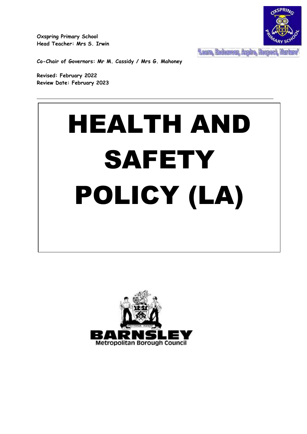**Oxspring Primary School Head Teacher: Mrs S. Irwin**



**Co-Chair of Governors: Mr M. Cassidy / Mrs G. Mahoney**

**Revised: February 2022 Review Date: February 2023**

# HEALTH AND **SAFETY** POLICY (LA)

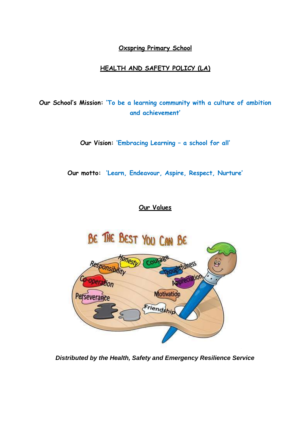# **Oxspring Primary School**

# **HEALTH AND SAFETY POLICY (LA)**

**Our School's Mission: 'To be a learning community with a culture of ambition and achievement'**

**Our Vision: 'Embracing Learning – a school for all'**

**Our motto: 'Learn, Endeavour, Aspire, Respect, Nurture'**

# **Our Values**



*Distributed by the Health, Safety and Emergency Resilience Service*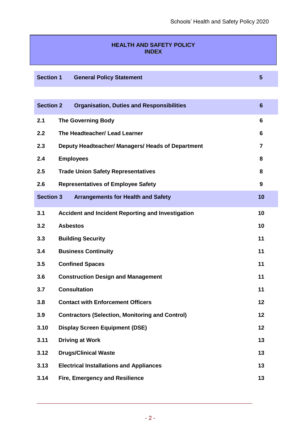# **HEALTH AND SAFETY POLICY INDEX**

**Section 1 General Policy Statement 5**

| <b>Section 2</b> | <b>Organisation, Duties and Responsibilities</b>         | 6  |
|------------------|----------------------------------------------------------|----|
| 2.1              | <b>The Governing Body</b>                                | 6  |
| 2.2              | The Headteacher/ Lead Learner                            | 6  |
| 2.3              | Deputy Headteacher/ Managers/ Heads of Department        | 7  |
| 2.4              | <b>Employees</b>                                         | 8  |
| 2.5              | <b>Trade Union Safety Representatives</b>                | 8  |
| 2.6              | <b>Representatives of Employee Safety</b>                | 9  |
| <b>Section 3</b> | <b>Arrangements for Health and Safety</b>                | 10 |
| 3.1              | <b>Accident and Incident Reporting and Investigation</b> | 10 |
| 3.2              | <b>Asbestos</b>                                          | 10 |
| 3.3              | <b>Building Security</b>                                 | 11 |
| 3.4              | <b>Business Continuity</b>                               | 11 |
| 3.5              | <b>Confined Spaces</b>                                   | 11 |
| 3.6              | <b>Construction Design and Management</b>                | 11 |
| 3.7              | <b>Consultation</b>                                      | 11 |
| 3.8              | <b>Contact with Enforcement Officers</b>                 | 12 |
| 3.9              | <b>Contractors (Selection, Monitoring and Control)</b>   | 12 |
| 3.10             | <b>Display Screen Equipment (DSE)</b>                    | 12 |
| 3.11             | <b>Driving at Work</b>                                   | 13 |
| 3.12             | <b>Drugs/Clinical Waste</b>                              | 13 |
| 3.13             | <b>Electrical Installations and Appliances</b>           | 13 |
| 3.14             | Fire, Emergency and Resilience                           | 13 |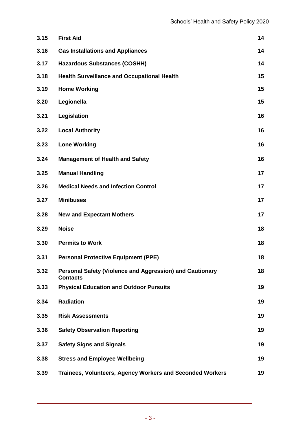| 3.15 | <b>First Aid</b>                                                            | 14 |
|------|-----------------------------------------------------------------------------|----|
| 3.16 | <b>Gas Installations and Appliances</b>                                     | 14 |
| 3.17 | <b>Hazardous Substances (COSHH)</b>                                         | 14 |
| 3.18 | <b>Health Surveillance and Occupational Health</b>                          | 15 |
| 3.19 | <b>Home Working</b>                                                         | 15 |
| 3.20 | Legionella                                                                  | 15 |
| 3.21 | Legislation                                                                 | 16 |
| 3.22 | <b>Local Authority</b>                                                      | 16 |
| 3.23 | <b>Lone Working</b>                                                         | 16 |
| 3.24 | <b>Management of Health and Safety</b>                                      | 16 |
| 3.25 | <b>Manual Handling</b>                                                      | 17 |
| 3.26 | <b>Medical Needs and Infection Control</b>                                  | 17 |
| 3.27 | <b>Minibuses</b>                                                            | 17 |
| 3.28 | <b>New and Expectant Mothers</b>                                            | 17 |
| 3.29 | <b>Noise</b>                                                                | 18 |
| 3.30 | <b>Permits to Work</b>                                                      | 18 |
| 3.31 | <b>Personal Protective Equipment (PPE)</b>                                  | 18 |
| 3.32 | Personal Safety (Violence and Aggression) and Cautionary<br><b>Contacts</b> | 18 |
| 3.33 | <b>Physical Education and Outdoor Pursuits</b>                              | 19 |
| 3.34 | <b>Radiation</b>                                                            | 19 |
| 3.35 | <b>Risk Assessments</b>                                                     | 19 |
| 3.36 | <b>Safety Observation Reporting</b>                                         | 19 |
| 3.37 | <b>Safety Signs and Signals</b>                                             | 19 |
| 3.38 | <b>Stress and Employee Wellbeing</b>                                        | 19 |
| 3.39 | Trainees, Volunteers, Agency Workers and Seconded Workers                   | 19 |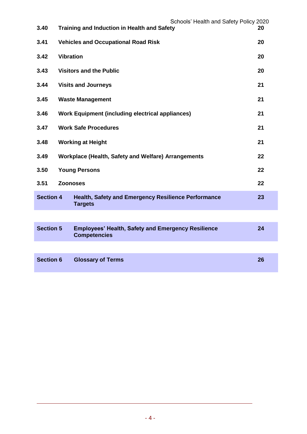| 3.40             |                  | Schools' Health and Safety Policy 2020<br><b>Training and Induction in Health and Safety</b> | 20 |
|------------------|------------------|----------------------------------------------------------------------------------------------|----|
| 3.41             |                  | <b>Vehicles and Occupational Road Risk</b>                                                   | 20 |
| 3.42             | <b>Vibration</b> |                                                                                              | 20 |
| 3.43             |                  | <b>Visitors and the Public</b>                                                               | 20 |
| 3.44             |                  | <b>Visits and Journeys</b>                                                                   | 21 |
| 3.45             |                  | <b>Waste Management</b>                                                                      | 21 |
| 3.46             |                  | <b>Work Equipment (including electrical appliances)</b>                                      | 21 |
| 3.47             |                  | <b>Work Safe Procedures</b>                                                                  | 21 |
| 3.48             |                  | <b>Working at Height</b>                                                                     | 21 |
| 3.49             |                  | Workplace (Health, Safety and Welfare) Arrangements                                          | 22 |
| 3.50             |                  | <b>Young Persons</b>                                                                         | 22 |
| 3.51             | <b>Zoonoses</b>  |                                                                                              | 22 |
| <b>Section 4</b> |                  | <b>Health, Safety and Emergency Resilience Performance</b><br><b>Targets</b>                 | 23 |
|                  |                  |                                                                                              |    |
| <b>Section 5</b> |                  | <b>Employees' Health, Safety and Emergency Resilience</b><br><b>Competencies</b>             | 24 |
|                  |                  |                                                                                              |    |

| Section 6 Glossary of Terms | 26 |
|-----------------------------|----|
|                             |    |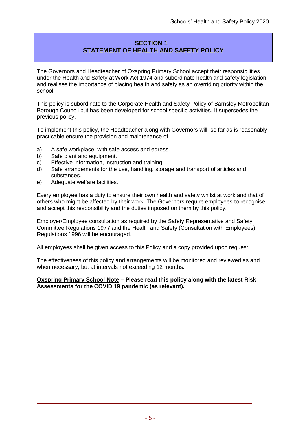# **SECTION 1 STATEMENT OF HEALTH AND SAFETY POLICY**

The Governors and Headteacher of Oxspring Primary School accept their responsibilities under the Health and Safety at Work Act 1974 and subordinate health and safety legislation and realises the importance of placing health and safety as an overriding priority within the school.

This policy is subordinate to the Corporate Health and Safety Policy of Barnsley Metropolitan Borough Council but has been developed for school specific activities. It supersedes the previous policy.

To implement this policy, the Headteacher along with Governors will, so far as is reasonably practicable ensure the provision and maintenance of:

- a) A safe workplace, with safe access and egress.
- b) Safe plant and equipment.
- c) Effective information, instruction and training.
- d) Safe arrangements for the use, handling, storage and transport of articles and substances.
- e) Adequate welfare facilities.

Every employee has a duty to ensure their own health and safety whilst at work and that of others who might be affected by their work. The Governors require employees to recognise and accept this responsibility and the duties imposed on them by this policy.

Employer/Employee consultation as required by the Safety Representative and Safety Committee Regulations 1977 and the Health and Safety (Consultation with Employees) Regulations 1996 will be encouraged.

All employees shall be given access to this Policy and a copy provided upon request.

The effectiveness of this policy and arrangements will be monitored and reviewed as and when necessary, but at intervals not exceeding 12 months.

**Oxspring Primary School Note – Please read this policy along with the latest Risk Assessments for the COVID 19 pandemic (as relevant).**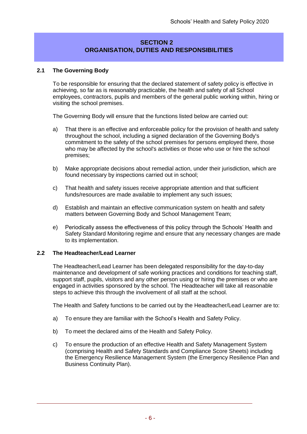# **SECTION 2 ORGANISATION, DUTIES AND RESPONSIBILITIES**

#### **2.1 The Governing Body**

To be responsible for ensuring that the declared statement of safety policy is effective in achieving, so far as is reasonably practicable, the health and safety of all School employees, contractors, pupils and members of the general public working within, hiring or visiting the school premises.

The Governing Body will ensure that the functions listed below are carried out:

- a) That there is an effective and enforceable policy for the provision of health and safety throughout the school, including a signed declaration of the Governing Body's commitment to the safety of the school premises for persons employed there, those who may be affected by the school's activities or those who use or hire the school premises;
- b) Make appropriate decisions about remedial action, under their jurisdiction, which are found necessary by inspections carried out in school;
- c) That health and safety issues receive appropriate attention and that sufficient funds/resources are made available to implement any such issues;
- d) Establish and maintain an effective communication system on health and safety matters between Governing Body and School Management Team;
- e) Periodically assess the effectiveness of this policy through the Schools' Health and Safety Standard Monitoring regime and ensure that any necessary changes are made to its implementation.

#### **2.2 The Headteacher/Lead Learner**

The Headteacher/Lead Learner has been delegated responsibility for the day-to-day maintenance and development of safe working practices and conditions for teaching staff, support staff, pupils, visitors and any other person using or hiring the premises or who are engaged in activities sponsored by the school. The Headteacher will take all reasonable steps to achieve this through the involvement of all staff at the school.

The Health and Safety functions to be carried out by the Headteacher/Lead Learner are to:

- a) To ensure they are familiar with the School's Health and Safety Policy.
- b) To meet the declared aims of the Health and Safety Policy.
- c) To ensure the production of an effective Health and Safety Management System (comprising Health and Safety Standards and Compliance Score Sheets) including the Emergency Resilience Management System (the Emergency Resilience Plan and Business Continuity Plan).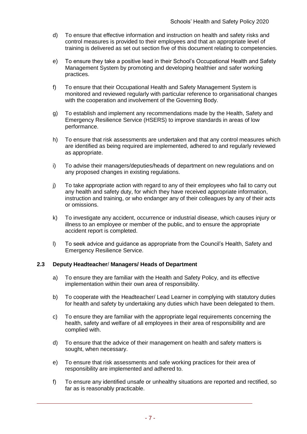- d) To ensure that effective information and instruction on health and safety risks and control measures is provided to their employees and that an appropriate level of training is delivered as set out section five of this document relating to competencies.
- e) To ensure they take a positive lead in their School's Occupational Health and Safety Management System by promoting and developing healthier and safer working practices.
- f) To ensure that their Occupational Health and Safety Management System is monitored and reviewed regularly with particular reference to organisational changes with the cooperation and involvement of the Governing Body.
- g) To establish and implement any recommendations made by the Health, Safety and Emergency Resilience Service (HSERS) to improve standards in areas of low performance.
- h) To ensure that risk assessments are undertaken and that any control measures which are identified as being required are implemented, adhered to and regularly reviewed as appropriate.
- i) To advise their managers/deputies/heads of department on new regulations and on any proposed changes in existing regulations.
- j) To take appropriate action with regard to any of their employees who fail to carry out any health and safety duty, for which they have received appropriate information, instruction and training, or who endanger any of their colleagues by any of their acts or omissions.
- k) To investigate any accident, occurrence or industrial disease, which causes injury or illness to an employee or member of the public, and to ensure the appropriate accident report is completed.
- l) To seek advice and guidance as appropriate from the Council's Health, Safety and Emergency Resilience Service.

#### **2.3 Deputy Headteacher**/ **Managers/ Heads of Department**

- a) To ensure they are familiar with the Health and Safety Policy, and its effective implementation within their own area of responsibility.
- b) To cooperate with the Headteacher/ Lead Learner in complying with statutory duties for health and safety by undertaking any duties which have been delegated to them.
- c) To ensure they are familiar with the appropriate legal requirements concerning the health, safety and welfare of all employees in their area of responsibility and are complied with.
- d) To ensure that the advice of their management on health and safety matters is sought, when necessary.
- e) To ensure that risk assessments and safe working practices for their area of responsibility are implemented and adhered to.
- f) To ensure any identified unsafe or unhealthy situations are reported and rectified, so far as is reasonably practicable.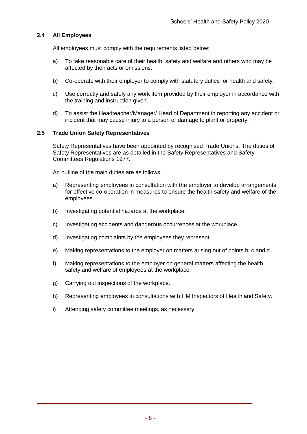#### **2.4 All Employees**

All employees must comply with the requirements listed below:

- a) To take reasonable care of their health, safety and welfare and others who may be affected by their acts or omissions.
- b) Co-operate with their employer to comply with statutory duties for health and safety.
- c) Use correctly and safely any work item provided by their employer in accordance with the training and instruction given.
- d) To assist the Headteacher/Manager/ Head of Department in reporting any accident or incident that may cause injury to a person or damage to plant or property.

#### **2.5 Trade Union Safety Representatives**

Safety Representatives have been appointed by recognised Trade Unions. The duties of Safety Representatives are as detailed in the Safety Representatives and Safety Committees Regulations 1977.

An outline of the main duties are as follows:

- a) Representing employees in consultation with the employer to develop arrangements for effective co-operation in measures to ensure the health safety and welfare of the employees.
- b) Investigating potential hazards at the workplace.
- c) Investigating accidents and dangerous occurrences at the workplace.
- d) Investigating complaints by the employees they represent.
- e) Making representations to the employer on matters arising out of points b, c and d.
- f) Making representations to the employer on general matters affecting the health, safety and welfare of employees at the workplace.
- g) Carrying out inspections of the workplace.
- h) Representing employees in consultations with HM Inspectors of Health and Safety.
- i) Attending safety committee meetings, as necessary.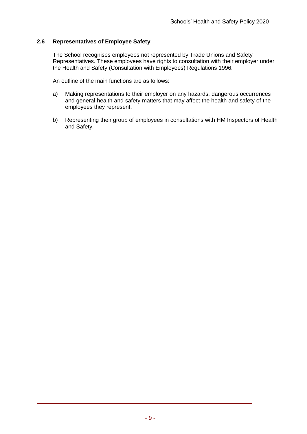#### **2.6 Representatives of Employee Safety**

The School recognises employees not represented by Trade Unions and Safety Representatives. These employees have rights to consultation with their employer under the Health and Safety (Consultation with Employees) Regulations 1996.

An outline of the main functions are as follows:

- a) Making representations to their employer on any hazards, dangerous occurrences and general health and safety matters that may affect the health and safety of the employees they represent.
- b) Representing their group of employees in consultations with HM Inspectors of Health and Safety.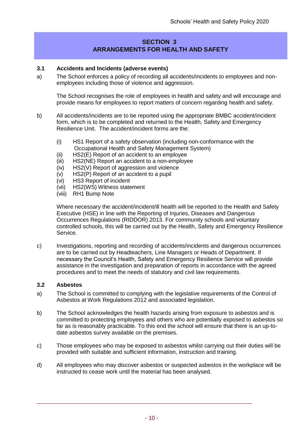# **SECTION 3 ARRANGEMENTS FOR HEALTH AND SAFETY**

#### **3.1 Accidents and Incidents (adverse events)**

a) The School enforces a policy of recording all accidents/incidents to employees and nonemployees including those of violence and aggression.

The School recognises the role of employees in health and safety and will encourage and provide means for employees to report matters of concern regarding health and safety.

- b) All accidents/incidents are to be reported using the appropriate BMBC accident/incident form, which is to be completed and returned to the Health, Safety and Emergency Resilience Unit. The accident/incident forms are the:
	- (i) HS1 Report of a safety observation (including non-conformance with the Occupational Health and Safety Management System)
	- (ii) HS2(E) Report of an accident to an employee
	- (iii) HS2(NE) Report an accident to a non-employee
	- (iv) HS2(V) Report of aggression and violence
	- (v) HS2(P) Report of an accident to a pupil
	- (vi) HS3 Report of incident
	- (vii) HS2(WS) Witness statement
	- (viii) RH1 Bump Note

Where necessary the accident/incident/ill health will be reported to the Health and Safety Executive (HSE) in line with the Reporting of Injuries, Diseases and Dangerous Occurrences Regulations (RIDDOR) 2013. For community schools and voluntary controlled schools, this will be carried out by the Health, Safety and Emergency Resilience Service.

c) Investigations, reporting and recording of accidents/incidents and dangerous occurrences are to be carried out by Headteachers, Line Managers or Heads of Department. If necessary the Council's Health, Safety and Emergency Resilience Service will provide assistance in the investigation and preparation of reports in accordance with the agreed procedures and to meet the needs of statutory and civil law requirements.

#### **3.2 Asbestos**

- a) The School is committed to complying with the legislative requirements of the Control of Asbestos at Work Regulations 2012 and associated legislation.
- b) The School acknowledges the health hazards arising from exposure to asbestos and is committed to protecting employees and others who are potentially exposed to asbestos so far as is reasonably practicable. To this end the school will ensure that there is an up-todate asbestos survey available on the premises.
- c) Those employees who may be exposed to asbestos whilst carrying out their duties will be provided with suitable and sufficient information, instruction and training.
- d) All employees who may discover asbestos or suspected asbestos in the workplace will be instructed to cease work until the material has been analysed.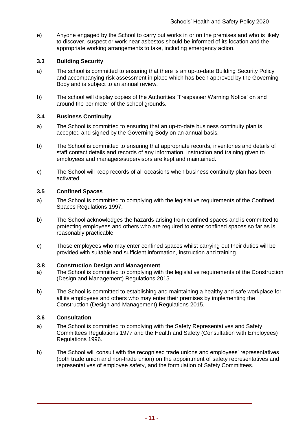e) Anyone engaged by the School to carry out works in or on the premises and who is likely to discover, suspect or work near asbestos should be informed of its location and the appropriate working arrangements to take, including emergency action.

#### **3.3 Building Security**

- a) The school is committed to ensuring that there is an up-to-date Building Security Policy and accompanying risk assessment in place which has been approved by the Governing Body and is subject to an annual review.
- b) The school will display copies of the Authorities 'Trespasser Warning Notice' on and around the perimeter of the school grounds.

#### **3.4 Business Continuity**

- a) The School is committed to ensuring that an up-to-date business continuity plan is accepted and signed by the Governing Body on an annual basis.
- b) The School is committed to ensuring that appropriate records, inventories and details of staff contact details and records of any information, instruction and training given to employees and managers/supervisors are kept and maintained.
- c) The School will keep records of all occasions when business continuity plan has been activated.

#### **3.5 Confined Spaces**

- a) The School is committed to complying with the legislative requirements of the Confined Spaces Regulations 1997.
- b) The School acknowledges the hazards arising from confined spaces and is committed to protecting employees and others who are required to enter confined spaces so far as is reasonably practicable.
- c) Those employees who may enter confined spaces whilst carrying out their duties will be provided with suitable and sufficient information, instruction and training.

#### **3.8 Construction Design and Management**

- a) The School is committed to complying with the legislative requirements of the Construction (Design and Management) Regulations 2015.
- b) The School is committed to establishing and maintaining a healthy and safe workplace for all its employees and others who may enter their premises by implementing the Construction (Design and Management) Regulations 2015.

#### **3.6 Consultation**

- a) The School is committed to complying with the Safety Representatives and Safety Committees Regulations 1977 and the Health and Safety (Consultation with Employees) Regulations 1996.
- b) The School will consult with the recognised trade unions and employees' representatives (both trade union and non-trade union) on the appointment of safety representatives and representatives of employee safety, and the formulation of Safety Committees.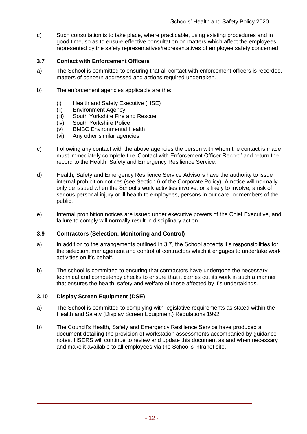c) Such consultation is to take place, where practicable, using existing procedures and in good time, so as to ensure effective consultation on matters which affect the employees represented by the safety representatives/representatives of employee safety concerned.

#### **3.7 Contact with Enforcement Officers**

- a) The School is committed to ensuring that all contact with enforcement officers is recorded, matters of concern addressed and actions required undertaken.
- b) The enforcement agencies applicable are the:
	- (i) Health and Safety Executive (HSE)<br>(ii) Environment Agency
	- **Environment Agency**
	- (iii) South Yorkshire Fire and Rescue
	- (iv) South Yorkshire Police
	- (v) BMBC Environmental Health
	- (vi) Any other similar agencies
- c) Following any contact with the above agencies the person with whom the contact is made must immediately complete the 'Contact with Enforcement Officer Record' and return the record to the Health, Safety and Emergency Resilience Service.
- d) Health, Safety and Emergency Resilience Service Advisors have the authority to issue internal prohibition notices (see Section 6 of the Corporate Policy). A notice will normally only be issued when the School's work activities involve, or a likely to involve, a risk of serious personal injury or ill health to employees, persons in our care, or members of the public.
- e) Internal prohibition notices are issued under executive powers of the Chief Executive, and failure to comply will normally result in disciplinary action.

#### **3.9 Contractors (Selection, Monitoring and Control)**

- a) In addition to the arrangements outlined in 3.7, the School accepts it's responsibilities for the selection, management and control of contractors which it engages to undertake work activities on it's behalf.
- b) The school is committed to ensuring that contractors have undergone the necessary technical and competency checks to ensure that it carries out its work in such a manner that ensures the health, safety and welfare of those affected by it's undertakings.

#### **3.10 Display Screen Equipment (DSE)**

- a) The School is committed to complying with legislative requirements as stated within the Health and Safety (Display Screen Equipment) Regulations 1992.
- b) The Council's Health, Safety and Emergency Resilience Service have produced a document detailing the provision of workstation assessments accompanied by guidance notes. HSERS will continue to review and update this document as and when necessary and make it available to all employees via the School's intranet site.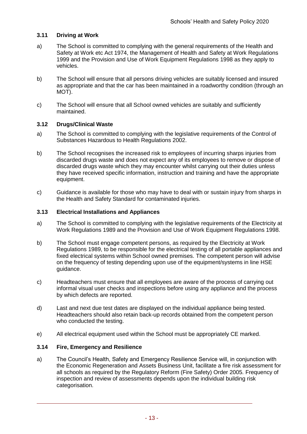#### **3.11 Driving at Work**

- a) The School is committed to complying with the general requirements of the Health and Safety at Work etc Act 1974, the Management of Health and Safety at Work Regulations 1999 and the Provision and Use of Work Equipment Regulations 1998 as they apply to vehicles.
- b) The School will ensure that all persons driving vehicles are suitably licensed and insured as appropriate and that the car has been maintained in a roadworthy condition (through an MOT).
- c) The School will ensure that all School owned vehicles are suitably and sufficiently maintained.

#### **3.12 Drugs/Clinical Waste**

- a) The School is committed to complying with the legislative requirements of the Control of Substances Hazardous to Health Regulations 2002.
- b) The School recognises the increased risk to employees of incurring sharps injuries from discarded drugs waste and does not expect any of its employees to remove or dispose of discarded drugs waste which they may encounter whilst carrying out their duties unless they have received specific information, instruction and training and have the appropriate equipment.
- c) Guidance is available for those who may have to deal with or sustain injury from sharps in the Health and Safety Standard for contaminated injuries.

#### **3.13 Electrical Installations and Appliances**

- a) The School is committed to complying with the legislative requirements of the Electricity at Work Regulations 1989 and the Provision and Use of Work Equipment Regulations 1998.
- b) The School must engage competent persons, as required by the Electricity at Work Regulations 1989, to be responsible for the electrical testing of all portable appliances and fixed electrical systems within School owned premises. The competent person will advise on the frequency of testing depending upon use of the equipment/systems in line HSE guidance.
- c) Headteachers must ensure that all employees are aware of the process of carrying out informal visual user checks and inspections before using any appliance and the process by which defects are reported.
- d) Last and next due test dates are displayed on the individual appliance being tested. Headteachers should also retain back-up records obtained from the competent person who conducted the testing.
- e) All electrical equipment used within the School must be appropriately CE marked.

#### **3.14 Fire, Emergency and Resilience**

a) The Council's Health, Safety and Emergency Resilience Service will, in conjunction with the Economic Regeneration and Assets Business Unit, facilitate a fire risk assessment for all schools as required by the Regulatory Reform (Fire Safety) Order 2005. Frequency of inspection and review of assessments depends upon the individual building risk categorisation.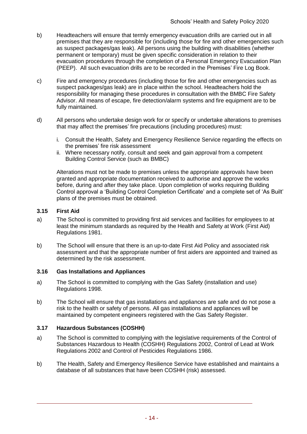- b) Headteachers will ensure that termly emergency evacuation drills are carried out in all premises that they are responsible for (including those for fire and other emergencies such as suspect packages/gas leak). All persons using the building with disabilities (whether permanent or temporary) must be given specific consideration in relation to their evacuation procedures through the completion of a Personal Emergency Evacuation Plan (PEEP). All such evacuation drills are to be recorded in the Premises' Fire Log Book.
- c) Fire and emergency procedures (including those for fire and other emergencies such as suspect packages/gas leak) are in place within the school. Headteachers hold the responsibility for managing these procedures in consultation with the BMBC Fire Safety Advisor. All means of escape, fire detection/alarm systems and fire equipment are to be fully maintained.
- d) All persons who undertake design work for or specify or undertake alterations to premises that may affect the premises' fire precautions (including procedures) must:
	- i. Consult the Health, Safety and Emergency Resilience Service regarding the effects on the premises' fire risk assessment
	- ii. Where necessary notify, consult and seek and gain approval from a competent Building Control Service (such as BMBC)

Alterations must not be made to premises unless the appropriate approvals have been granted and appropriate documentation received to authorise and approve the works before, during and after they take place. Upon completion of works requiring Building Control approval a 'Building Control Completion Certificate' and a complete set of 'As Built' plans of the premises must be obtained.

#### <span id="page-14-0"></span>**3.15 First Aid**

- a) The School is committed to providing first aid services and facilities for employees to at least the minimum standards as required by the Health and Safety at Work (First Aid) Regulations 1981.
- b) The School will ensure that there is an up-to-date First Aid Policy and associated risk assessment and that the appropriate number of first aiders are appointed and trained as determined by the risk assessment.

#### <span id="page-14-1"></span>**3.16 Gas Installations and Appliances**

- a) The School is committed to complying with the Gas Safety (installation and use) Regulations 1998.
- b) The School will ensure that gas installations and appliances are safe and do not pose a risk to the health or safety of persons. All gas installations and appliances will be maintained by competent engineers registered with the Gas Safety Register.

# <span id="page-14-2"></span>**3.17 Hazardous Substances (COSHH)**

- a) The School is committed to complying with the legislative requirements of the Control of Substances Hazardous to Health (COSHH) Regulations 2002, Control of Lead at Work Regulations 2002 and Control of Pesticides Regulations 1986.
- b) The Health, Safety and Emergency Resilience Service have established and maintains a database of all substances that have been COSHH (risk) assessed.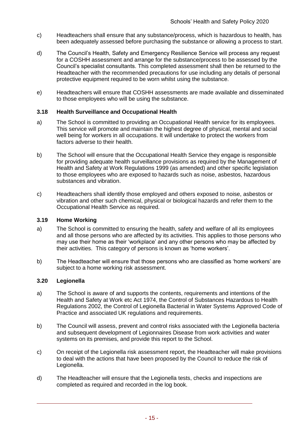- c) Headteachers shall ensure that any substance/process, which is hazardous to health, has been adequately assessed before purchasing the substance or allowing a process to start.
- d) The Council's Health, Safety and Emergency Resilience Service will process any request for a COSHH assessment and arrange for the substance/process to be assessed by the Council's specialist consultants. This completed assessment shall then be returned to the Headteacher with the recommended precautions for use including any details of personal protective equipment required to be worn whilst using the substance.
- e) Headteachers will ensure that COSHH assessments are made available and disseminated to those employees who will be using the substance.

#### <span id="page-15-0"></span>**3.18 Health Surveillance and Occupational Health**

- a) The School is committed to providing an Occupational Health service for its employees. This service will promote and maintain the highest degree of physical, mental and social well being for workers in all occupations. It will undertake to protect the workers from factors adverse to their health.
- b) The School will ensure that the Occupational Health Service they engage is responsible for providing adequate health surveillance provisions as required by the Management of Health and Safety at Work Regulations 1999 (as amended) and other specific legislation to those employees who are exposed to hazards such as noise, asbestos, hazardous substances and vibration.
- c) Headteachers shall identify those employed and others exposed to noise, asbestos or vibration and other such chemical, physical or biological hazards and refer them to the Occupational Health Service as required.

#### <span id="page-15-1"></span>**3.19 Home Working**

- a) The School is committed to ensuring the health, safety and welfare of all its employees and all those persons who are affected by its activities. This applies to those persons who may use their home as their 'workplace' and any other persons who may be affected by their activities. This category of persons is known as 'home workers'.
- b) The Headteacher will ensure that those persons who are classified as 'home workers' are subject to a home working risk assessment.

#### <span id="page-15-2"></span>**3.20 Legionella**

- a) The School is aware of and supports the contents, requirements and intentions of the Health and Safety at Work etc Act 1974, the Control of Substances Hazardous to Health Regulations 2002, the Control of Legionella Bacterial in Water Systems Approved Code of Practice and associated UK regulations and requirements.
- b) The Council will assess, prevent and control risks associated with the Legionella bacteria and subsequent development of Legionnaires Disease from work activities and water systems on its premises, and provide this report to the School.
- c) On receipt of the Legionella risk assessment report, the Headteacher will make provisions to deal with the actions that have been proposed by the Council to reduce the risk of Legionella.
- d) The Headteacher will ensure that the Legionella tests, checks and inspections are completed as required and recorded in the log book.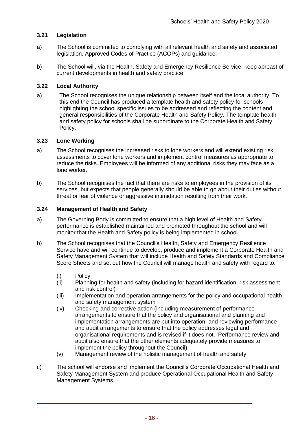# <span id="page-16-0"></span>**3.21 Legislation**

- a) The School is committed to complying with all relevant health and safety and associated legislation, Approved Codes of Practice (ACOPs) and guidance.
- b) The School will, via the Health, Safety and Emergency Resilience Service, keep abreast of current developments in health and safety practice.

#### <span id="page-16-1"></span>**3.22 Local Authority**

a) The School recognises the unique relationship between itself and the local authority. To this end the Council has produced a template health and safety policy for schools highlighting the school specific issues to be addressed and reflecting the content and general responsibilities of the Corporate Health and Safety Policy. The template health and safety policy for schools shall be subordinate to the Corporate Health and Safety Policy.

#### <span id="page-16-2"></span>**3.23 Lone Working**

- a) The School recognises the increased risks to lone workers and will extend existing risk assessments to cover lone workers and implement control measures as appropriate to reduce the risks. Employees will be informed of any additional risks they may face as a lone worker.
- b) The School recognises the fact that there are risks to employees in the provision of its services, but expects that people generally should be able to go about their duties without threat or fear of violence or aggressive intimidation resulting from their work.

#### <span id="page-16-3"></span>**3.24 Management of Health and Safety**

- a) The Governing Body is committed to ensure that a high level of Health and Safety performance is established maintained and promoted throughout the school and will monitor that the Health and Safety policy is being implemented in school.
- b) The School recognises that the Council's Health, Safety and Emergency Resilience Service have and will continue to develop, produce and implement a Corporate Health and Safety Management System that will include Health and Safety Standards and Compliance Score Sheets and set out how the Council will manage health and safety with regard to:
	- (i) Policy
	- (ii) Planning for health and safety (including for hazard identification, risk assessment and risk control)
	- (iii) Implementation and operation arrangements for the policy and occupational health and safety management system
	- (iv) Checking and corrective action (including measurement of performance arrangements to ensure that the policy and organisational and planning and implementation arrangements are put into operation, and reviewing performance and audit arrangements to ensure that the policy addresses legal and organisational requirements and is revised if it does not. Performance review and audit also ensure that the other elements adequately provide measures to implement the policy throughout the Council).
	- (v) Management review of the holistic management of health and safety
- c) The school will endorse and implement the Council's Corporate Occupational Health and Safety Management System and produce Operational Occupational Health and Safety Management Systems.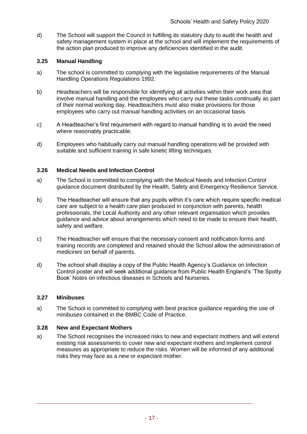d) The School will support the Council in fulfilling its statutory duty to audit the health and safety management system in place at the school and will implement the requirements of the action plan produced to improve any deficiencies identified in the audit.

#### <span id="page-17-0"></span>**3.25 Manual Handling**

- a) The school is committed to complying with the legislative requirements of the Manual Handling Operations Regulations 1992.
- b) Headteachers will be responsible for identifying all activities within their work area that involve manual handling and the employees who carry out these tasks continually as part of their normal working day. Headteachers must also make provisions for those employees who carry out manual handling activities on an occasional basis.
- c) A Headteacher's first requirement with regard to manual handling is to avoid the need where reasonably practicable.
- d) Employees who habitually carry out manual handling operations will be provided with suitable and sufficient training in safe kinetic lifting techniques.

#### <span id="page-17-1"></span>**3.26 Medical Needs and Infection Control**

- a) The School is committed to complying with the Medical Needs and Infection Control guidance document distributed by the Health, Safety and Emergency Resilience Service.
- b) The Headteacher will ensure that any pupils within it's care which require specific medical care are subject to a health care plan produced in conjunction with parents, health professionals, the Local Authority and any other relevant organisation which provides guidance and advice about arrangements which need to be made to ensure their health, safety and welfare.
- c) The Headteacher will ensure that the necessary consent and notification forms and training records are completed and retained should the School allow the administration of medicines on behalf of parents.
- d) The school shall display a copy of the Public Health Agency's Guidance on Infection Control poster and will seek additional guidance from Public Health England's 'The Spotty Book' Notes on infectious diseases in Schools and Nurseries.

#### <span id="page-17-2"></span>**3.27 Minibuses**

a) The School is committed to complying with best practice guidance regarding the use of minibuses contained in the BMBC Code of Practice.

#### <span id="page-17-3"></span>**3.28 New and Expectant Mothers**

a) The School recognises the increased risks to new and expectant mothers and will extend existing risk assessments to cover new and expectant mothers and implement control measures as appropriate to reduce the risks. Women will be informed of any additional risks they may face as a new or expectant mother.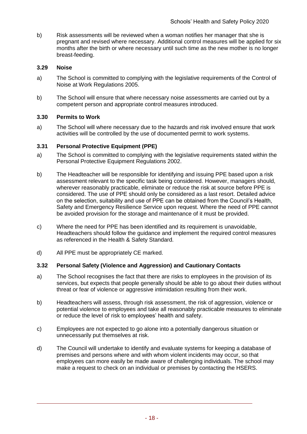b) Risk assessments will be reviewed when a woman notifies her manager that she is pregnant and revised where necessary. Additional control measures will be applied for six months after the birth or where necessary until such time as the new mother is no longer breast-feeding.

# <span id="page-18-0"></span>**3.29 Noise**

- a) The School is committed to complying with the legislative requirements of the Control of Noise at Work Regulations 2005.
- b) The School will ensure that where necessary noise assessments are carried out by a competent person and appropriate control measures introduced.

#### <span id="page-18-1"></span>**3.30 Permits to Work**

a) The School will where necessary due to the hazards and risk involved ensure that work activities will be controlled by the use of documented permit to work systems.

#### <span id="page-18-2"></span>**3.31 Personal Protective Equipment (PPE)**

- a) The School is committed to complying with the legislative requirements stated within the Personal Protective Equipment Regulations 2002.
- b) The Headteacher will be responsible for identifying and issuing PPE based upon a risk assessment relevant to the specific task being considered. However, managers should, wherever reasonably practicable, eliminate or reduce the risk at source before PPE is considered. The use of PPE should only be considered as a last resort. Detailed advice on the selection, suitability and use of PPE can be obtained from the Council's Health, Safety and Emergency Resilience Service upon request. Where the need of PPE cannot be avoided provision for the storage and maintenance of it must be provided.
- c) Where the need for PPE has been identified and its requirement is unavoidable, Headteachers should follow the guidance and implement the required control measures as referenced in the Health & Safety Standard.
- d) All PPE must be appropriately CE marked.

#### **3.32 Personal Safety (Violence and Aggression) and Cautionary Contacts**

- a) The School recognises the fact that there are risks to employees in the provision of its services, but expects that people generally should be able to go about their duties without threat or fear of violence or aggressive intimidation resulting from their work.
- b) Headteachers will assess, through risk assessment, the risk of aggression, violence or potential violence to employees and take all reasonably practicable measures to eliminate or reduce the level of risk to employees' health and safety.
- c) Employees are not expected to go alone into a potentially dangerous situation or unnecessarily put themselves at risk.
- d) The Council will undertake to identify and evaluate systems for keeping a database of premises and persons where and with whom violent incidents may occur, so that employees can more easily be made aware of challenging individuals. The school may make a request to check on an individual or premises by contacting the HSERS.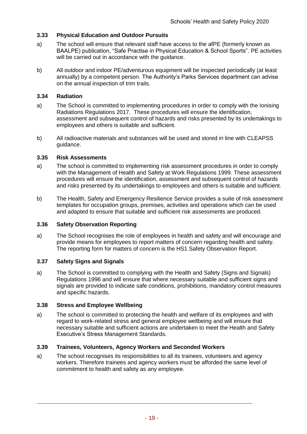# <span id="page-19-0"></span>**3.33 Physical Education and Outdoor Pursuits**

- a) The school will ensure that relevant staff have access to the afPE (formerly known as BAALPE) publication, "Safe Practise in Physical Education & School Sports". PE activities will be carried out in accordance with the guidance.
- b) All outdoor and indoor PE/adventurous equipment will be inspected periodically (at least annually) by a competent person. The Authority's Parks Services department can advise on the annual inspection of trim trails.

#### <span id="page-19-1"></span>**3.34 Radiation**

- a) The School is committed to implementing procedures in order to comply with the Ionising Radiations Regulations 2017. These procedures will ensure the identification, assessment and subsequent control of hazards and risks presented by its undertakings to employees and others is suitable and sufficient.
- b) All radioactive materials and substances will be used and stored in line with CLEAPSS guidance.

#### <span id="page-19-2"></span>**3.35 Risk Assessments**

- a) The school is committed to implementing risk assessment procedures in order to comply with the Management of Health and Safety at Work Regulations 1999. These assessment procedures will ensure the identification, assessment and subsequent control of hazards and risks presented by its undertakings to employees and others is suitable and sufficient.
- b) The Health, Safety and Emergency Resilience Service provides a suite of risk assessment templates for occupation groups, premises, activities and operations which can be used and adapted to ensure that suitable and sufficient risk assessments are produced.

#### <span id="page-19-3"></span>**3.36 Safety Observation Reporting**

a) The School recognises the role of employees in health and safety and will encourage and provide means for employees to report matters of concern regarding health and safety. The reporting form for matters of concern is the HS1 Safety Observation Report.

#### <span id="page-19-4"></span>**3.37 Safety Signs and Signals**

a) The School is committed to complying with the Health and Safety (Signs and Signals) Regulations 1996 and will ensure that where necessary suitable and sufficient signs and signals are provided to indicate safe conditions, prohibitions, mandatory control measures and specific hazards.

#### <span id="page-19-5"></span>**3.38 Stress and Employee Wellbeing**

a) The school is committed to protecting the health and welfare of its employees and with regard to work-related stress and general employee wellbeing and will ensure that necessary suitable and sufficient actions are undertaken to meet the Health and Safety Executive's Stress Management Standards.

#### <span id="page-19-6"></span>**3.39 Trainees, Volunteers, Agency Workers and Seconded Workers**

a) The school recognises its responsibilities to all its trainees, volunteers and agency workers. Therefore trainees and agency workers must be afforded the same level of commitment to health and safety as any employee.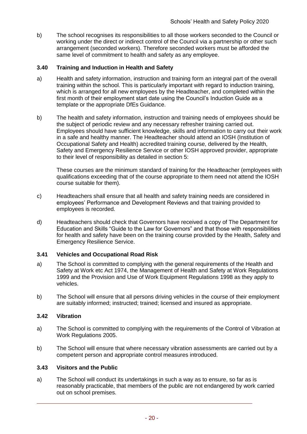b) The school recognises its responsibilities to all those workers seconded to the Council or working under the direct or indirect control of the Council via a partnership or other such arrangement (seconded workers). Therefore seconded workers must be afforded the same level of commitment to health and safety as any employee.

# <span id="page-20-0"></span>**3.40 Training and Induction in Health and Safety**

- a) Health and safety information, instruction and training form an integral part of the overall training within the school. This is particularly important with regard to induction training, which is arranged for all new employees by the Headteacher, and completed within the first month of their employment start date using the Council's Induction Guide as a template or the appropriate DfEs Guidance.
- b) The health and safety information, instruction and training needs of employees should be the subject of periodic review and any necessary refresher training carried out. Employees should have sufficient knowledge, skills and information to carry out their work in a safe and healthy manner. The Headteacher should attend an IOSH (Institution of Occupational Safety and Health) accredited training course, delivered by the Health, Safety and Emergency Resilience Service or other IOSH approved provider, appropriate to their level of responsibility as detailed in section 5:

These courses are the minimum standard of training for the Headteacher (employees with qualifications exceeding that of the course appropriate to them need not attend the IOSH course suitable for them).

- c) Headteachers shall ensure that all health and safety training needs are considered in employees' Performance and Development Reviews and that training provided to employees is recorded.
- d) Headteachers should check that Governors have received a copy of The Department for Education and Skills "Guide to the Law for Governors" and that those with responsibilities for health and safety have been on the training course provided by the Health, Safety and Emergency Resilience Service.

#### <span id="page-20-1"></span>**3.41 Vehicles and Occupational Road Risk**

- a) The School is committed to complying with the general requirements of the Health and Safety at Work etc Act 1974, the Management of Health and Safety at Work Regulations 1999 and the Provision and Use of Work Equipment Regulations 1998 as they apply to vehicles.
- b) The School will ensure that all persons driving vehicles in the course of their employment are suitably informed; instructed; trained; licensed and insured as appropriate.

#### <span id="page-20-2"></span>**3.42 Vibration**

- a) The School is committed to complying with the requirements of the Control of Vibration at Work Regulations 2005.
- b) The School will ensure that where necessary vibration assessments are carried out by a competent person and appropriate control measures introduced.

#### <span id="page-20-3"></span>**3.43 Visitors and the Public**

a) The School will conduct its undertakings in such a way as to ensure, so far as is reasonably practicable, that members of the public are not endangered by work carried out on school premises.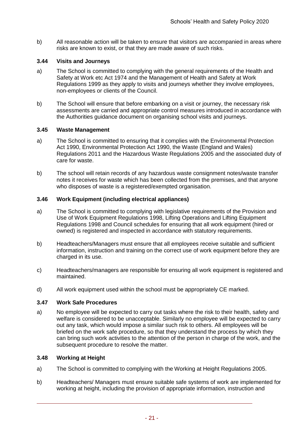b) All reasonable action will be taken to ensure that visitors are accompanied in areas where risks are known to exist, or that they are made aware of such risks.

#### <span id="page-21-0"></span>**3.44 Visits and Journeys**

- a) The School is committed to complying with the general requirements of the Health and Safety at Work etc Act 1974 and the Management of Health and Safety at Work Regulations 1999 as they apply to visits and journeys whether they involve employees, non-employees or clients of the Council.
- b) The School will ensure that before embarking on a visit or journey, the necessary risk assessments are carried and appropriate control measures introduced in accordance with the Authorities guidance document on organising school visits and journeys.

#### <span id="page-21-1"></span>**3.45 Waste Management**

- a) The School is committed to ensuring that it complies with the Environmental Protection Act 1990, Environmental Protection Act 1990, the Waste (England and Wales) Regulations 2011 and the Hazardous Waste Regulations 2005 and the associated duty of care for waste.
- b) The school will retain records of any hazardous waste consignment notes/waste transfer notes it receives for waste which has been collected from the premises, and that anyone who disposes of waste is a registered/exempted organisation.

#### <span id="page-21-2"></span>**3.46 Work Equipment (including electrical appliances)**

- a) The School is committed to complying with legislative requirements of the Provision and Use of Work Equipment Regulations 1998, Lifting Operations and Lifting Equipment Regulations 1998 and Council schedules for ensuring that all work equipment (hired or owned) is registered and inspected in accordance with statutory requirements.
- b) Headteachers/Managers must ensure that all employees receive suitable and sufficient information, instruction and training on the correct use of work equipment before they are charged in its use.
- c) Headteachers/managers are responsible for ensuring all work equipment is registered and maintained.
- d) All work equipment used within the school must be appropriately CE marked.

#### <span id="page-21-3"></span>**3.47 Work Safe Procedures**

a) No employee will be expected to carry out tasks where the risk to their health, safety and welfare is considered to be unacceptable. Similarly no employee will be expected to carry out any task, which would impose a similar such risk to others. All employees will be briefed on the work safe procedure, so that they understand the process by which they can bring such work activities to the attention of the person in charge of the work, and the subsequent procedure to resolve the matter.

# <span id="page-21-4"></span>**3.48 Working at Height**

- a) The School is committed to complying with the Working at Height Regulations 2005.
- b) Headteachers/ Managers must ensure suitable safe systems of work are implemented for working at height, including the provision of appropriate information, instruction and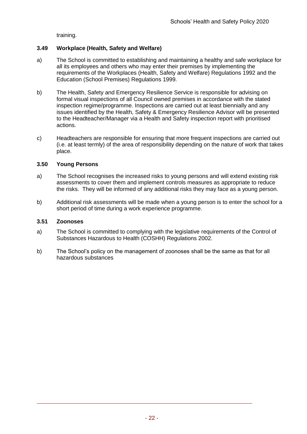training.

# **3.49 Workplace (Health, Safety and Welfare)**

- a) The School is committed to establishing and maintaining a healthy and safe workplace for all its employees and others who may enter their premises by implementing the requirements of the Workplaces (Health, Safety and Welfare) Regulations 1992 and the Education (School Premises) Regulations 1999.
- b) The Health, Safety and Emergency Resilience Service is responsible for advising on formal visual inspections of all Council owned premises in accordance with the stated inspection regime/programme. Inspections are carried out at least biennially and any issues identified by the Health, Safety & Emergency Resilience Advisor will be presented to the Headteacher/Manager via a Health and Safety inspection report with prioritised actions.
- c) Headteachers are responsible for ensuring that more frequent inspections are carried out (i.e. at least termly) of the area of responsibility depending on the nature of work that takes place.

#### <span id="page-22-0"></span>**3.50 Young Persons**

- a) The School recognises the increased risks to young persons and will extend existing risk assessments to cover them and implement controls measures as appropriate to reduce the risks. They will be informed of any additional risks they may face as a young person.
- b) Additional risk assessments will be made when a young person is to enter the school for a short period of time during a work experience programme.

#### <span id="page-22-1"></span>**3.51 Zoonoses**

- a) The School is committed to complying with the legislative requirements of the Control of Substances Hazardous to Health (COSHH) Regulations 2002.
- b) The School's policy on the management of zoonoses shall be the same as that for all hazardous substances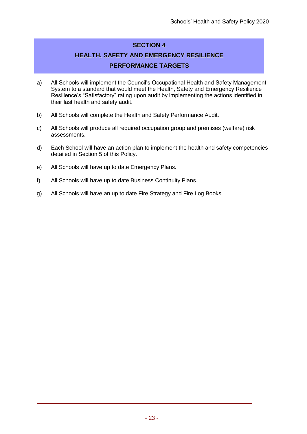# **SECTION 4**

# **HEALTH, SAFETY AND EMERGENCY RESILIENCE PERFORMANCE TARGETS**

- a) All Schools will implement the Council's Occupational Health and Safety Management System to a standard that would meet the Health, Safety and Emergency Resilience Resilience's "Satisfactory" rating upon audit by implementing the actions identified in their last health and safety audit.
- b) All Schools will complete the Health and Safety Performance Audit.
- c) All Schools will produce all required occupation group and premises (welfare) risk assessments.
- d) Each School will have an action plan to implement the health and safety competencies detailed in Section 5 of this Policy.
- e) All Schools will have up to date Emergency Plans.
- f) All Schools will have up to date Business Continuity Plans.
- g) All Schools will have an up to date Fire Strategy and Fire Log Books.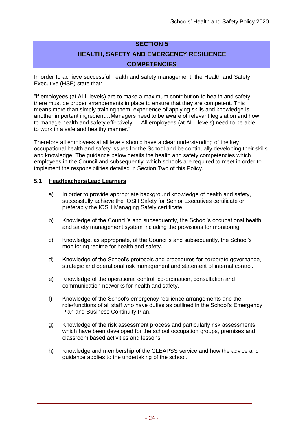# **SECTION 5 HEALTH, SAFETY AND EMERGENCY RESILIENCE COMPETENCIES**

In order to achieve successful health and safety management, the Health and Safety Executive (HSE) state that:

"If employees (at ALL levels) are to make a maximum contribution to health and safety there must be proper arrangements in place to ensure that they are competent. This means more than simply training them, experience of applying skills and knowledge is another important ingredient…Managers need to be aware of relevant legislation and how to manage health and safety effectively… All employees (at ALL levels) need to be able to work in a safe and healthy manner."

Therefore all employees at all levels should have a clear understanding of the key occupational health and safety issues for the School and be continually developing their skills and knowledge. The guidance below details the health and safety competencies which employees in the Council and subsequently, which schools are required to meet in order to implement the responsibilities detailed in Section Two of this Policy.

#### **5.1 Headteachers/Lead Learners**

- a) In order to provide appropriate background knowledge of health and safety, successfully achieve the IOSH Safety for Senior Executives certificate or preferably the IOSH Managing Safely certificate.
- b) Knowledge of the Council's and subsequently, the School's occupational health and safety management system including the provisions for monitoring.
- c) Knowledge, as appropriate, of the Council's and subsequently, the School's monitoring regime for health and safety.
- d) Knowledge of the School's protocols and procedures for corporate governance, strategic and operational risk management and statement of internal control.
- e) Knowledge of the operational control, co-ordination, consultation and communication networks for health and safety.
- f) Knowledge of the School's emergency resilience arrangements and the role/functions of all staff who have duties as outlined in the School's Emergency Plan and Business Continuity Plan.
- g) Knowledge of the risk assessment process and particularly risk assessments which have been developed for the school occupation groups, premises and classroom based activities and lessons.
- h) Knowledge and membership of the CLEAPSS service and how the advice and guidance applies to the undertaking of the school.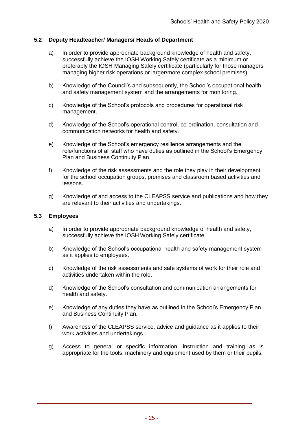# **5.2 Deputy Headteacher**/ **Managers/ Heads of Department**

- a) In order to provide appropriate background knowledge of health and safety, successfully achieve the IOSH Working Safely certificate as a minimum or preferably the IOSH Managing Safely certificate (particularly for those managers managing higher risk operations or larger/more complex school premises).
- b) Knowledge of the Council's and subsequently, the School's occupational health and safety management system and the arrangements for monitoring.
- c) Knowledge of the School's protocols and procedures for operational risk management.
- d) Knowledge of the School's operational control, co-ordination, consultation and communication networks for health and safety.
- e) Knowledge of the School's emergency resilience arrangements and the role/functions of all staff who have duties as outlined in the School's Emergency Plan and Business Continuity Plan.
- f) Knowledge of the risk assessments and the role they play in their development for the school occupation groups, premises and classroom based activities and lessons.
- g) Knowledge of and access to the CLEAPSS service and publications and how they are relevant to their activities and undertakings.

#### **5.3 Employees**

- a) In order to provide appropriate background knowledge of health and safety, successfully achieve the IOSH Working Safely certificate.
- b) Knowledge of the School's occupational health and safety management system as it applies to employees.
- c) Knowledge of the risk assessments and safe systems of work for their role and activities undertaken within the role.
- d) Knowledge of the School's consultation and communication arrangements for health and safety.
- e) Knowledge of any duties they have as outlined in the School's Emergency Plan and Business Continuity Plan.
- f) Awareness of the CLEAPSS service, advice and guidance as it applies to their work activities and undertakings.
- g) Access to general or specific information, instruction and training as is appropriate for the tools, machinery and equipment used by them or their pupils.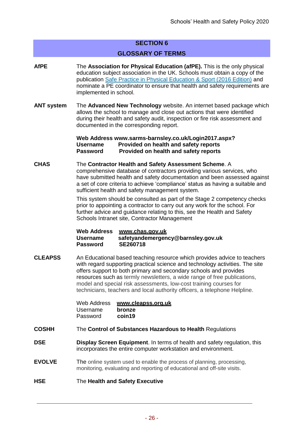# **SECTION 6**

#### **GLOSSARY OF TERMS**

- **AfPE** The **Association for Physical Education (afPE).** This is the only physical education subject association in the UK. Schools must obtain a copy of the publication [Safe Practice in Physical Education & Sport \(2016 Edition\)](http://www.1st4sport.com/p-1383-1st4sportcom-pre-order-safe-practice-2012-.aspx) and nominate a PE coordinator to ensure that health and safety requirements are implemented in school.
- **ANT system** The **Advanced New Technology** website. An internet based package which allows the school to manage and close out actions that were identified during their health and safety audit, inspection or fire risk assessment and documented in the corresponding report.

**Web Address [www.sarms-barnsley.co.uk/Login2017.aspx?](http://www.sarms-barnsley.co.uk/Login2017.aspx) Username Provided on health and safety reports Password Provided on health and safety reports**

# **CHAS** The **Contractor Health and Safety Assessment Scheme**. A

comprehensive database of contractors providing various services, who have submitted health and safety documentation and been assessed against a set of core criteria to achieve 'compliance' status as having a suitable and sufficient health and safety management system.

This system should be consulted as part of the Stage 2 competency checks prior to appointing a contractor to carry out any work for the school. For further advice and guidance relating to this, see the Health and Safety Schools Intranet site, Contractor Management

| <b>Web Address</b> | www.chas.gov.uk                    |
|--------------------|------------------------------------|
| <b>Username</b>    | safetyandemergency@barnsley.gov.uk |
| <b>Password</b>    | SE260718                           |

**CLEAPSS** An Educational based teaching resource which provides advice to teachers with regard supporting practical science and technology activities. The site offers support to both primary and secondary schools and provides resources such as termly newsletters, a wide range of free publications, model and special risk assessments, low-cost training courses for technicians, teachers and local authority officers, a telephone Helpline.

| Web Address | www.cleapss.org.uk |
|-------------|--------------------|
| Username    | bronze             |
| Password    | coin19             |

- **COSHH** The **Control of Substances Hazardous to Health** Regulations
- **DSE Display Screen Equipment**. In terms of health and safety regulation, this incorporates the entire computer workstation and environment.
- **EVOLVE** The online system used to enable the process of planning, processing, monitoring, evaluating and reporting of educational and off-site visits.

# **HSE** The **Health and Safety Executive**